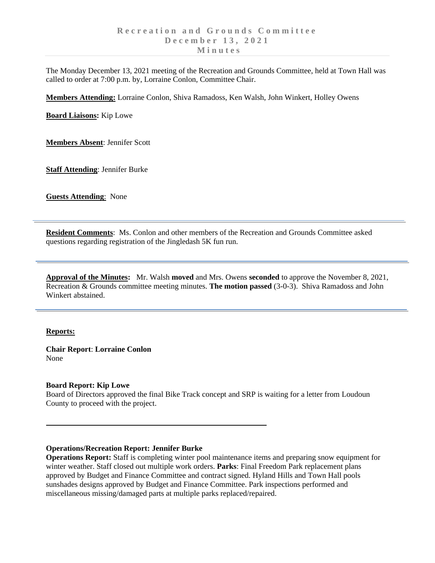The Monday December 13, 2021 meeting of the Recreation and Grounds Committee, held at Town Hall was called to order at 7:00 p.m. by, Lorraine Conlon, Committee Chair.

**Members Attending:** Lorraine Conlon, Shiva Ramadoss, Ken Walsh, John Winkert, Holley Owens

**Board Liaisons:** Kip Lowe

**Members Absent**: Jennifer Scott

**Staff Attending**: Jennifer Burke

**Guests Attending**: None

**Resident Comments**: Ms. Conlon and other members of the Recreation and Grounds Committee asked questions regarding registration of the Jingledash 5K fun run.

**Approval of the Minutes:** Mr. Walsh **moved** and Mrs. Owens **seconded** to approve the November 8, 2021, Recreation & Grounds committee meeting minutes. **The motion passed** (3-0-3). Shiva Ramadoss and John Winkert abstained.

### **Reports:**

**Chair Report**: **Lorraine Conlon** None

### **Board Report: Kip Lowe**

Board of Directors approved the final Bike Track concept and SRP is waiting for a letter from Loudoun County to proceed with the project.

### **Operations/Recreation Report: Jennifer Burke**

**Operations Report:** Staff is completing winter pool maintenance items and preparing snow equipment for winter weather. Staff closed out multiple work orders. **Parks**: Final Freedom Park replacement plans approved by Budget and Finance Committee and contract signed. Hyland Hills and Town Hall pools sunshades designs approved by Budget and Finance Committee. Park inspections performed and miscellaneous missing/damaged parts at multiple parks replaced/repaired.